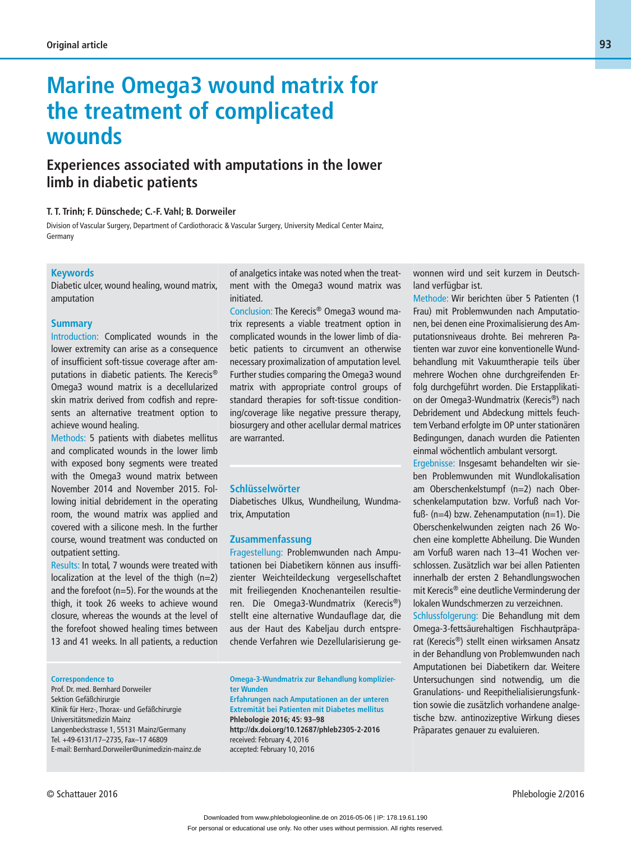# **Marine Omega3 wound matrix for the treatment of complicated wounds**

## **Experiences associated with amputations in the lower limb in diabetic patients**

### **T. T. Trinh; F. Dünschede; C.-F. Vahl; B. Dorweiler**

Division of Vascular Surgery, Department of Cardiothoracic & Vascular Surgery, University Medical Center Mainz, Germany

#### **Keywords**

Diabetic ulcer, wound healing, wound matrix, amputation

### **Summary**

Introduction: Complicated wounds in the lower extremity can arise as a consequence of insufficient soft-tissue coverage after amputations in diabetic patients. The Kerecis® Omega3 wound matrix is a decellularized skin matrix derived from codfish and represents an alternative treatment option to achieve wound healing.

Methods: 5 patients with diabetes mellitus and complicated wounds in the lower limb with exposed bony segments were treated with the Omega3 wound matrix between November 2014 and November 2015. Following initial debridement in the operating room, the wound matrix was applied and covered with a silicone mesh. In the further course, wound treatment was conducted on outpatient setting.

Results: In total, 7 wounds were treated with localization at the level of the thigh  $(n=2)$ and the forefoot (n=5). For the wounds at the thigh, it took 26 weeks to achieve wound closure, whereas the wounds at the level of the forefoot showed healing times between 13 and 41 weeks. In all patients, a reduction

#### **Correspondence to**

Prof. Dr. med. Bernhard Dorweiler Sektion Gefäßchirurgie Klinik für Herz-, Thorax- und Gefäßchirurgie Universitätsmedizin Mainz Langenbeckstrasse 1, 55131 Mainz/Germany Tel. +49-6131/17-2735, Fax-17 46809 E-mail: Bernhard.Dorweiler@unimedizin-mainz.de of analgetics intake was noted when the treatment with the Omega3 wound matrix was initiated.

Conclusion: The Kerecis® Omega3 wound matrix represents a viable treatment option in complicated wounds in the lower limb of diabetic patients to circumvent an otherwise necessary proximalization of amputation level. Further studies comparing the Omega3 wound matrix with appropriate control groups of standard therapies for soft-tissue conditioning/coverage like negative pressure therapy, biosurgery and other acellular dermal matrices are warranted.

### **Schlüsselwörter**

Diabetisches Ulkus, Wundheilung, Wundmatrix, Amputation

### **Zusammenfassung**

Fragestellung: Problemwunden nach Amputationen bei Diabetikern können aus insuffizienter Weichteildeckung vergesellschaftet mit freiliegenden Knochenanteilen resultieren. Die Omega3-Wundmatrix (Kerecis®) stellt eine alternative Wundauflage dar, die aus der Haut des Kabeljau durch entsprechende Verfahren wie Dezellularisierung ge-

**Omega-3-Wundmatrix zur Behandlung komplizierter Wunden Erfahrungen nach Amputationen an der unteren** 

**Extremität bei Patienten mit Diabetes mellitus Phlebologie 2016; 45: 93–98 http://dx.doi.org/10.12687/phleb2305-2-2016** received: February 4, 2016 accepted: February 10, 2016

wonnen wird und seit kurzem in Deutschland verfügbar ist.

Methode: Wir berichten über 5 Patienten (1 Frau) mit Problemwunden nach Amputationen, bei denen eine Proximalisierung des Amputationsniveaus drohte. Bei mehreren Patienten war zuvor eine konventionelle Wundbehandlung mit Vakuumtherapie teils über mehrere Wochen ohne durchgreifenden Erfolg durchgeführt worden. Die Erstapplikation der Omega3-Wundmatrix (Kerecis®) nach Debridement und Abdeckung mittels feuchtem Verband erfolgte im OP unter stationären Bedingungen, danach wurden die Patienten einmal wöchentlich ambulant versorgt.

Ergebnisse: Insgesamt behandelten wir sieben Problemwunden mit Wundlokalisation am Oberschenkelstumpf (n=2) nach Oberschenkelamputation bzw. Vorfuß nach Vorfuß- (n=4) bzw. Zehenamputation (n=1). Die Oberschenkelwunden zeigten nach 26 Wochen eine komplette Abheilung. Die Wunden am Vorfuß waren nach 13–41 Wochen verschlossen. Zusätzlich war bei allen Patienten innerhalb der ersten 2 Behandlungswochen mit Kerecis® eine deutliche Verminderung der lokalen Wundschmerzen zu verzeichnen.

Schlussfolgerung: Die Behandlung mit dem Omega-3-fettsäurehaltigen Fischhautpräparat (Kerecis®) stellt einen wirksamen Ansatz in der Behandlung von Problemwunden nach Amputationen bei Diabetikern dar. Weitere Untersuchungen sind notwendig, um die Granulations- und Reepithelialisierungsfunktion sowie die zusätzlich vorhandene analgetische bzw. antinozizeptive Wirkung dieses Präparates genauer zu evaluieren.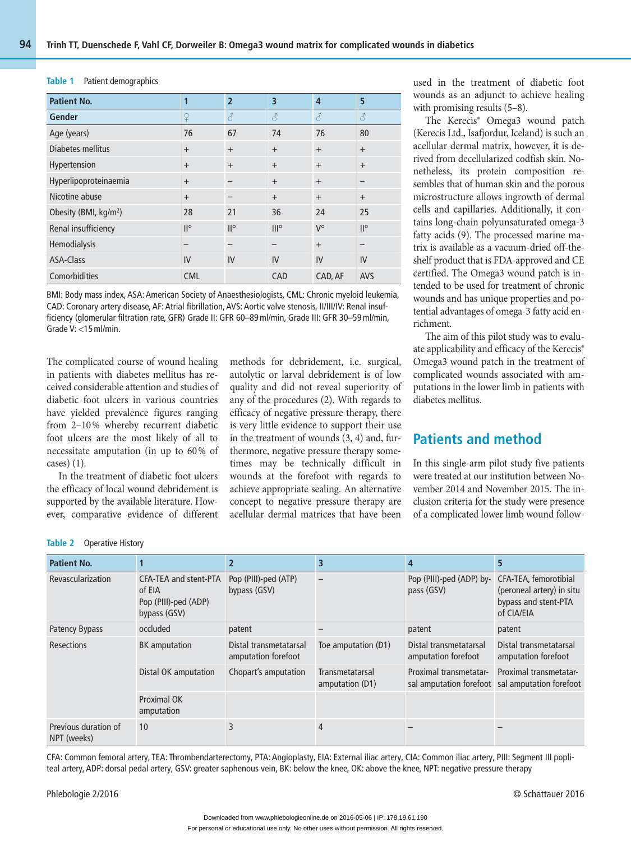#### **Table 1** Patient demographics

| <b>Patient No.</b>                | $\mathbf{1}$ | $\overline{2}$ | $\overline{\mathbf{3}}$ | $\overline{4}$ | 5            |
|-----------------------------------|--------------|----------------|-------------------------|----------------|--------------|
| Gender                            | ¥            | $\delta$       | 8                       | 8              | 8            |
| Age (years)                       | 76           | 67             | 74                      | 76             | 80           |
| Diabetes mellitus                 | $+$          | $+$            | $+$                     | $+$            | $+$          |
| Hypertension                      | $\ddot{}$    | $+$            | $\ddot{}$               | $+$            | $+$          |
| Hyperlipoproteinaemia             | $+$          |                | $+$                     | $+$            |              |
| Nicotine abuse                    | $+$          |                | $+$                     | $+$            | $+$          |
| Obesity (BMI, kg/m <sup>2</sup> ) | 28           | 21             | 36                      | 24             | 25           |
| Renal insufficiency               | $II^{\circ}$ | $II^{\circ}$   | III <sup>o</sup>        | $V^{\circ}$    | $II^{\circ}$ |
| Hemodialysis                      |              |                |                         | $+$            |              |
| ASA-Class                         | IV           | IV             | IV                      | IV             | IV           |
| Comorbidities                     | <b>CML</b>   |                | CAD                     | CAD, AF        | AVS          |

BMI: Body mass index, ASA: American Society of Anaesthesiologists, CML: Chronic myeloid leukemia, CAD: Coronary artery disease, AF: Atrial fibrillation, AVS: Aortic valve stenosis, II/III/IV: Renal insufficiency (glomerular filtration rate, GFR) Grade II: GFR 60–89 ml/min, Grade III: GFR 30–59 ml/min, Grade V: <15 ml/min.

The complicated course of wound healing in patients with diabetes mellitus has received considerable attention and studies of diabetic foot ulcers in various countries have yielded prevalence figures ranging from 2–10 % whereby recurrent diabetic foot ulcers are the most likely of all to necessitate amputation (in up to 60 % of cases) (1).

In the treatment of diabetic foot ulcers the efficacy of local wound debridement is supported by the available literature. However, comparative evidence of different methods for debridement, i.e. surgical, autolytic or larval debridement is of low quality and did not reveal superiority of any of the procedures (2). With regards to efficacy of negative pressure therapy, there is very little evidence to support their use in the treatment of wounds (3, 4) and, furthermore, negative pressure therapy sometimes may be technically difficult in wounds at the forefoot with regards to achieve appropriate sealing. An alternative concept to negative pressure therapy are acellular dermal matrices that have been used in the treatment of diabetic foot wounds as an adjunct to achieve healing with promising results (5–8).

The Kerecis® Omega3 wound patch (Kerecis Ltd., Isafjordur, Iceland) is such an acellular dermal matrix, however, it is derived from decellularized codfish skin. Nonetheless, its protein composition resembles that of human skin and the porous microstructure allows ingrowth of dermal cells and capillaries. Additionally, it contains long-chain polyunsaturated omega-3 fatty acids (9). The processed marine matrix is available as a vacuum-dried off-theshelf product that is FDA-approved and CE certified. The Omega3 wound patch is intended to be used for treatment of chronic wounds and has unique properties and potential advantages of omega-3 fatty acid enrichment.

The aim of this pilot study was to evaluate applicability and efficacy of the Kerecis® Omega3 wound patch in the treatment of complicated wounds associated with amputations in the lower limb in patients with diabetes mellitus.

### **Patients and method**

In this single-arm pilot study five patients were treated at our institution between November 2014 and November 2015. The inclusion criteria for the study were presence of a complicated lower limb wound follow-

| Table 2 | <b>Operative History</b> |
|---------|--------------------------|
|---------|--------------------------|

| <b>Patient No.</b>                  |                                                                         |                                               | 3                                  | 4                                             |                                                                                          |
|-------------------------------------|-------------------------------------------------------------------------|-----------------------------------------------|------------------------------------|-----------------------------------------------|------------------------------------------------------------------------------------------|
| Revascularization                   | CFA-TEA and stent-PTA<br>of EIA<br>Pop (PIII)-ped (ADP)<br>bypass (GSV) | Pop (PIII)-ped (ATP)<br>bypass (GSV)          |                                    | Pop (PIII)-ped (ADP) by-<br>pass (GSV)        | CFA-TEA, femorotibial<br>(peroneal artery) in situ<br>bypass and stent-PTA<br>of CIA/EIA |
| Patency Bypass                      | occluded                                                                | patent                                        |                                    | patent                                        | patent                                                                                   |
| Resections                          | <b>BK</b> amputation                                                    | Distal transmetatarsal<br>amputation forefoot | Toe amputation (D1)                | Distal transmetatarsal<br>amputation forefoot | Distal transmetatarsal<br>amputation forefoot                                            |
|                                     | Distal OK amputation                                                    | Chopart's amputation                          | Transmetatarsal<br>amputation (D1) | Proximal transmetatar-                        | Proximal transmetatar-<br>sal amputation forefoot sal amputation forefoot                |
|                                     | Proximal OK<br>amputation                                               |                                               |                                    |                                               |                                                                                          |
| Previous duration of<br>NPT (weeks) | 10                                                                      | Ρ                                             | 4                                  |                                               |                                                                                          |

CFA: Common femoral artery, TEA: Thrombendarterectomy, PTA: Angioplasty, EIA: External iliac artery, CIA: Common iliac artery, PIII: Segment III popliteal artery, ADP: dorsal pedal artery, GSV: greater saphenous vein, BK: below the knee, OK: above the knee, NPT: negative pressure therapy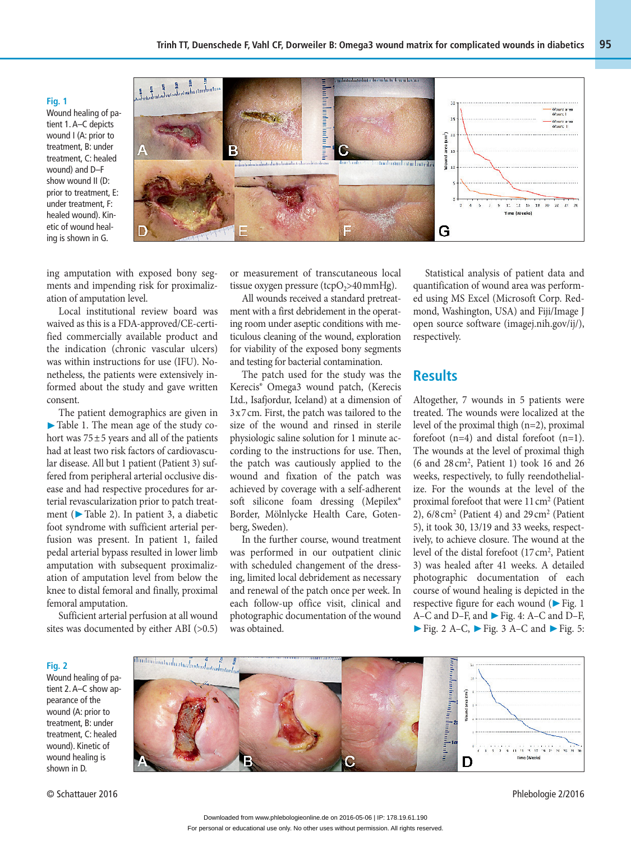**Fig. 1**  Wound healing of patient 1. A–C depicts wound I (A: prior to treatment, B: under treatment, C: healed wound) and D–F show wound II (D: prior to treatment, E: under treatment, F: healed wound). Kinetic of wound healing is shown in G.



ing amputation with exposed bony segments and impending risk for proximalization of amputation level.

Local institutional review board was waived as this is a FDA-approved/CE-certified commercially available product and the indication (chronic vascular ulcers) was within instructions for use (IFU). Nonetheless, the patients were extensively informed about the study and gave written consent.

The patient demographics are given in ▶ Table 1. The mean age of the study cohort was  $75 \pm 5$  years and all of the patients had at least two risk factors of cardiovascular disease. All but 1 patient (Patient 3) suffered from peripheral arterial occlusive disease and had respective procedures for arterial revascularization prior to patch treatment (▶ Table 2). In patient 3, a diabetic foot syndrome with sufficient arterial perfusion was present. In patient 1, failed pedal arterial bypass resulted in lower limb amputation with subsequent proximalization of amputation level from below the knee to distal femoral and finally, proximal femoral amputation.

Sufficient arterial perfusion at all wound sites was documented by either ABI (>0.5) or measurement of transcutaneous local tissue oxygen pressure (tcpO<sub>2</sub>>40 mmHg).

All wounds received a standard pretreatment with a first debridement in the operating room under aseptic conditions with meticulous cleaning of the wound, exploration for viability of the exposed bony segments and testing for bacterial contamination.

The patch used for the study was the Kerecis® Omega3 wound patch, (Kerecis Ltd., Isafjordur, Iceland) at a dimension of 3 x 7 cm. First, the patch was tailored to the size of the wound and rinsed in sterile physiologic saline solution for 1 minute according to the instructions for use. Then, the patch was cautiously applied to the wound and fixation of the patch was achieved by coverage with a self-adherent soft silicone foam dressing (Mepilex® Border, Mölnlycke Health Care, Gotenberg, Sweden).

In the further course, wound treatment was performed in our outpatient clinic with scheduled changement of the dressing, limited local debridement as necessary and renewal of the patch once per week. In each follow-up office visit, clinical and photographic documentation of the wound was obtained.

Statistical analysis of patient data and quantification of wound area was performed using MS Excel (Microsoft Corp. Redmond, Washington, USA) and Fiji/Image J open source software (imagej.nih.gov/ij/), respectively.

### **Results**

Altogether, 7 wounds in 5 patients were treated. The wounds were localized at the level of the proximal thigh (n=2), proximal forefoot (n=4) and distal forefoot (n=1). The wounds at the level of proximal thigh (6 and 28 cm2 , Patient 1) took 16 and 26 weeks, respectively, to fully reendothelialize. For the wounds at the level of the proximal forefoot that were  $11 \text{ cm}^2$  (Patient 2),  $6/8$  cm<sup>2</sup> (Patient 4) and  $29$  cm<sup>2</sup> (Patient 5), it took 30, 13/19 and 33 weeks, respectively, to achieve closure. The wound at the level of the distal forefoot (17 cm<sup>2</sup>, Patient 3) was healed after 41 weeks. A detailed photographic documentation of each course of wound healing is depicted in the respective figure for each wound (▶ Fig. 1 A–C and D–F, and ▶ Fig. 4: A–C and D–F, ▶ Fig. 2 A–C, ▶ Fig. 3 A–C and ▶ Fig. 5:

مج معدد المسلسلسلسلسلسلسلسلسلسل<br>ما*سطاسلسلسلسلسلسل*سلسل տանանականակ  $\overline{\mathbf{z}}$ Wound area (cm<sup>7</sup>)  $\mathbf{r}$ unitativa della Time (Weeks) R D

Wound healing of patient 2. A–C show appearance of the wound (A: prior to treatment, B: under treatment, C: healed wound). Kinetic of wound healing is shown in D.

**Fig. 2** 

© Schattauer 2016 Phlebologie 2/2016

For personal or educational use only. No other uses without permission. All rights reserved. Downloaded from www.phlebologieonline.de on 2016-05-06 | IP: 178.19.61.190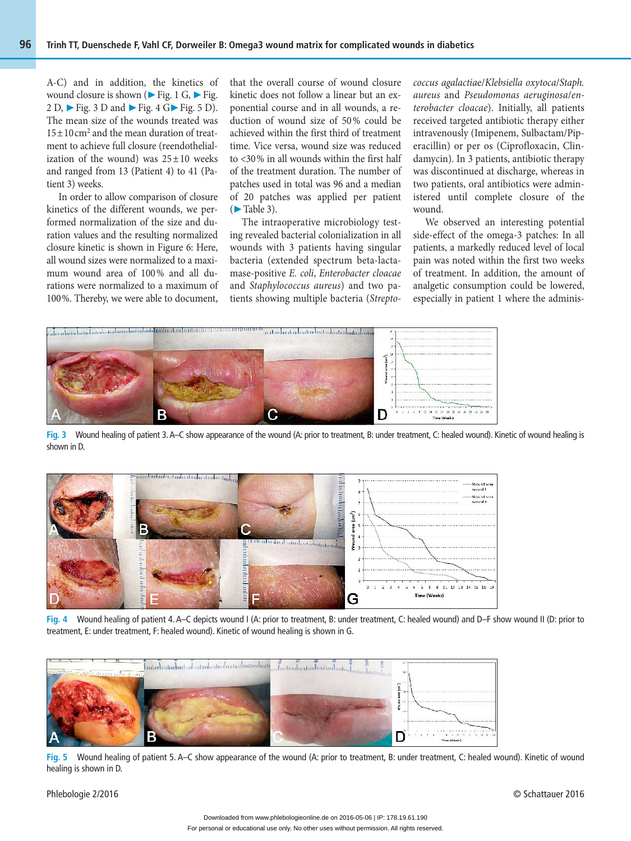A-C) and in addition, the kinetics of wound closure is shown ( $\blacktriangleright$  Fig. 1 G,  $\blacktriangleright$  Fig. 2 D,  $\triangleright$  Fig. 3 D and  $\triangleright$  Fig. 4 G $\triangleright$  Fig. 5 D). The mean size of the wounds treated was  $15 \pm 10 \text{ cm}^2$  and the mean duration of treatment to achieve full closure (reendothelialization of the wound) was  $25 \pm 10$  weeks and ranged from 13 (Patient 4) to 41 (Patient 3) weeks.

In order to allow comparison of closure kinetics of the different wounds, we performed normalization of the size and duration values and the resulting normalized closure kinetic is shown in Figure 6: Here, all wound sizes were normalized to a maximum wound area of 100% and all durations were normalized to a maximum of 100 %. Thereby, we were able to document,

that the overall course of wound closure kinetic does not follow a linear but an exponential course and in all wounds, a reduction of wound size of 50 % could be achieved within the first third of treatment time. Vice versa, wound size was reduced to <30 % in all wounds within the first half of the treatment duration. The number of patches used in total was 96 and a median of 20 patches was applied per patient (▶ Table 3).

The intraoperative microbiology testing revealed bacterial colonialization in all wounds with 3 patients having singular bacteria (extended spectrum beta-lactamase-positive *E. coli*, *Enterobacter cloacae* and *Staphylococcus aureus*) and two patients showing multiple bacteria (*Strepto-* *coccus agalactia*e/*Klebsiella oxytoca*/*Staph. aureus* and *Pseudomonas aeruginosa*/*enterobacter cloacae*). Initially, all patients received targeted antibiotic therapy either intravenously (Imipenem, Sulbactam/Piperacillin) or per os (Ciprofloxacin, Clindamycin). In 3 patients, antibiotic therapy was discontinued at discharge, whereas in two patients, oral antibiotics were administered until complete closure of the wound.

We observed an interesting potential side-effect of the omega-3 patches: In all patients, a markedly reduced level of local pain was noted within the first two weeks of treatment. In addition, the amount of analgetic consumption could be lowered, especially in patient 1 where the adminis-



**Fig. 3** Wound healing of patient 3. A–C show appearance of the wound (A: prior to treatment, B: under treatment, C: healed wound). Kinetic of wound healing is shown in D.



**Fig. 4** Wound healing of patient 4. A–C depicts wound I (A: prior to treatment, B: under treatment, C: healed wound) and D–F show wound II (D: prior to treatment, E: under treatment, F: healed wound). Kinetic of wound healing is shown in G.



**Fig. 5** Wound healing of patient 5. A–C show appearance of the wound (A: prior to treatment, B: under treatment, C: healed wound). Kinetic of wound healing is shown in D.

Phlebologie 2/2016 © Schattauer 2016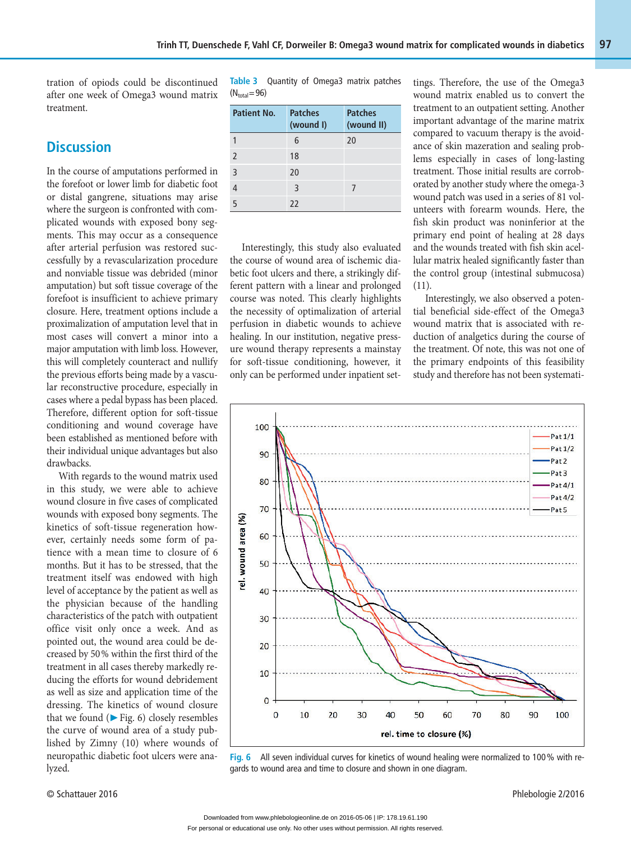tration of opiods could be discontinued after one week of Omega3 wound matrix treatment.

### **Discussion**

In the course of amputations performed in the forefoot or lower limb for diabetic foot or distal gangrene, situations may arise where the surgeon is confronted with complicated wounds with exposed bony segments. This may occur as a consequence after arterial perfusion was restored successfully by a revascularization procedure and nonviable tissue was debrided (minor amputation) but soft tissue coverage of the forefoot is insufficient to achieve primary closure. Here, treatment options include a proximalization of amputation level that in most cases will convert a minor into a major amputation with limb loss. However, this will completely counteract and nullify the previous efforts being made by a vascular reconstructive procedure, especially in cases where a pedal bypass has been placed. Therefore, different option for soft-tissue conditioning and wound coverage have been established as mentioned before with their individual unique advantages but also drawbacks.

With regards to the wound matrix used in this study, we were able to achieve wound closure in five cases of complicated wounds with exposed bony segments. The kinetics of soft-tissue regeneration however, certainly needs some form of patience with a mean time to closure of 6 months. But it has to be stressed, that the treatment itself was endowed with high level of acceptance by the patient as well as the physician because of the handling characteristics of the patch with outpatient office visit only once a week. And as pointed out, the wound area could be decreased by 50 % within the first third of the treatment in all cases thereby markedly reducing the efforts for wound debridement as well as size and application time of the dressing. The kinetics of wound closure that we found ( $\blacktriangleright$  Fig. 6) closely resembles the curve of wound area of a study published by Zimny (10) where wounds of neuropathic diabetic foot ulcers were analyzed.

**Table 3** Ouantity of Omega3 matrix patches  $(N_{\text{total}} = 96)$ 

| Patient No.   | <b>Patches</b><br>(wound I) | <b>Patches</b><br>(wound II) |
|---------------|-----------------------------|------------------------------|
|               | 6                           | 20                           |
| $\mathfrak z$ | 18                          |                              |
| 3             | 20                          |                              |
|               | 3                           |                              |
| 5             | 22                          |                              |

Interestingly, this study also evaluated the course of wound area of ischemic diabetic foot ulcers and there, a strikingly different pattern with a linear and prolonged course was noted. This clearly highlights the necessity of optimalization of arterial perfusion in diabetic wounds to achieve healing. In our institution, negative pressure wound therapy represents a mainstay for soft-tissue conditioning, however, it only can be performed under inpatient settings. Therefore, the use of the Omega3 wound matrix enabled us to convert the treatment to an outpatient setting. Another important advantage of the marine matrix compared to vacuum therapy is the avoidance of skin mazeration and sealing problems especially in cases of long-lasting treatment. Those initial results are corroborated by another study where the omega-3 wound patch was used in a series of 81 volunteers with forearm wounds. Here, the fish skin product was noninferior at the primary end point of healing at 28 days and the wounds treated with fish skin acellular matrix healed significantly faster than the control group (intestinal submucosa) (11).

Interestingly, we also observed a potential beneficial side-effect of the Omega3 wound matrix that is associated with reduction of analgetics during the course of the treatment. Of note, this was not one of the primary endpoints of this feasibility study and therefore has not been systemati-



**Fig. 6** All seven individual curves for kinetics of wound healing were normalized to 100 % with regards to wound area and time to closure and shown in one diagram.